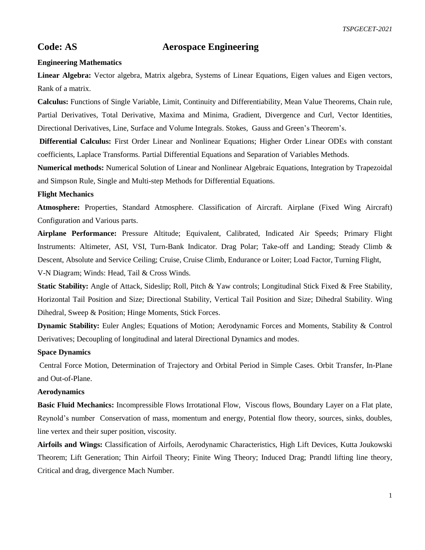*TSPGECET-2021*

# **Code: AS Aerospace Engineering**

# **Engineering Mathematics**

**Linear Algebra:** Vector algebra, Matrix algebra, Systems of Linear Equations, Eigen values and Eigen vectors, Rank of a matrix.

**Calculus:** Functions of Single Variable, Limit, Continuity and Differentiability, Mean Value Theorems, Chain rule, Partial Derivatives, Total Derivative, Maxima and Minima, Gradient, Divergence and Curl, Vector Identities, Directional Derivatives, Line, Surface and Volume Integrals. Stokes, Gauss and Green's Theorem's.

**Differential Calculus:** First Order Linear and Nonlinear Equations; Higher Order Linear ODEs with constant coefficients, Laplace Transforms. Partial Differential Equations and Separation of Variables Methods.

**Numerical methods:** Numerical Solution of Linear and Nonlinear Algebraic Equations, Integration by Trapezoidal and Simpson Rule, Single and Multi-step Methods for Differential Equations.

# **Flight Mechanics**

**Atmosphere:** Properties, Standard Atmosphere. Classification of Aircraft. Airplane (Fixed Wing Aircraft) Configuration and Various parts.

**Airplane Performance:** Pressure Altitude; Equivalent, Calibrated, Indicated Air Speeds; Primary Flight Instruments: Altimeter, ASI, VSI, Turn-Bank Indicator. Drag Polar; Take-off and Landing; Steady Climb & Descent, Absolute and Service Ceiling; Cruise, Cruise Climb, Endurance or Loiter; Load Factor, Turning Flight,

V-N Diagram; Winds: Head, Tail & Cross Winds.

**Static Stability:** Angle of Attack, Sideslip; Roll, Pitch & Yaw controls; Longitudinal Stick Fixed & Free Stability, Horizontal Tail Position and Size; Directional Stability, Vertical Tail Position and Size; Dihedral Stability. Wing Dihedral, Sweep & Position; Hinge Moments, Stick Forces.

**Dynamic Stability:** Euler Angles; Equations of Motion; Aerodynamic Forces and Moments, Stability & Control Derivatives; Decoupling of longitudinal and lateral Directional Dynamics and modes.

### **Space Dynamics**

Central Force Motion, Determination of Trajectory and Orbital Period in Simple Cases. Orbit Transfer, In-Plane and Out-of-Plane.

# **Aerodynamics**

**Basic Fluid Mechanics:** Incompressible Flows Irrotational Flow, Viscous flows, Boundary Layer on a Flat plate, Reynold's number Conservation of mass, momentum and energy, Potential flow theory, sources, sinks, doubles, line vertex and their super position, viscosity.

**Airfoils and Wings:** Classification of Airfoils, Aerodynamic Characteristics, High Lift Devices, Kutta Joukowski Theorem; Lift Generation; Thin Airfoil Theory; Finite Wing Theory; Induced Drag; Prandtl lifting line theory, Critical and drag, divergence Mach Number.